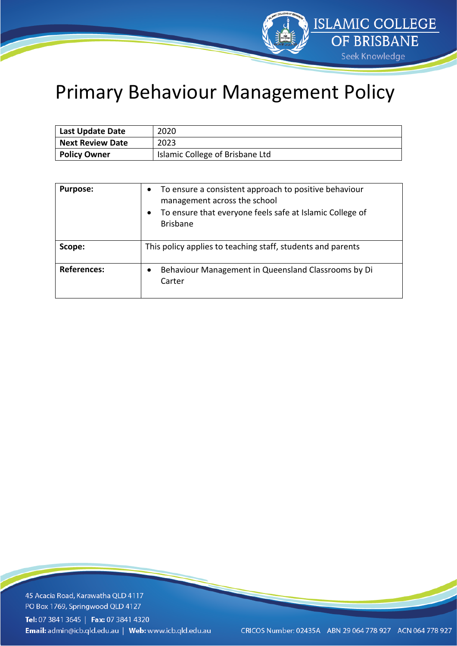

## Primary Behaviour Management Policy

| <b>Last Update Date</b> | 2020                            |
|-------------------------|---------------------------------|
| <b>Next Review Date</b> | 2023                            |
| <b>Policy Owner</b>     | Islamic College of Brisbane Ltd |

| <b>Purpose:</b>    | To ensure a consistent approach to positive behaviour<br>$\bullet$<br>management across the school<br>To ensure that everyone feels safe at Islamic College of<br>$\bullet$<br><b>Brisbane</b> |
|--------------------|------------------------------------------------------------------------------------------------------------------------------------------------------------------------------------------------|
| Scope:             | This policy applies to teaching staff, students and parents                                                                                                                                    |
| <b>References:</b> | Behaviour Management in Queensland Classrooms by Di<br>Carter                                                                                                                                  |

45 Acacia Road, Karawatha QLD 4117 PO Box 1769, Springwood QLD 4127 Tel: 07 3841 3645 | Fax: 07 3841 4320 Email: admin@icb.qld.edu.au | Web: www.icb.qld.edu.au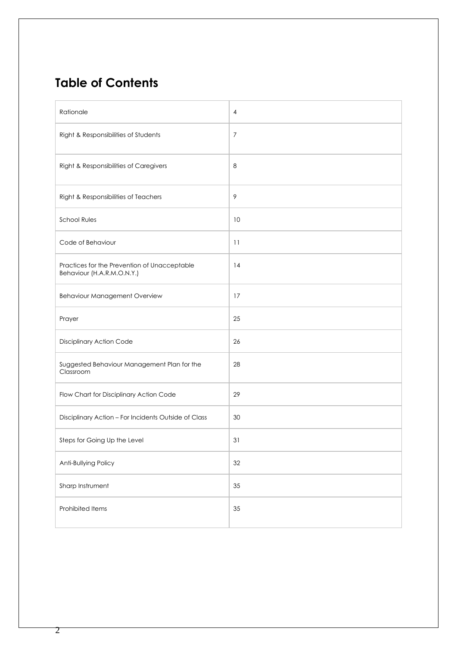### **Table of Contents**

| Rationale                                                                  | 4              |
|----------------------------------------------------------------------------|----------------|
| Right & Responsibilities of Students                                       | $\overline{7}$ |
| Right & Responsibilities of Caregivers                                     | 8              |
| Right & Responsibilities of Teachers                                       | $\mathcal{P}$  |
| <b>School Rules</b>                                                        | 10             |
| Code of Behaviour                                                          | 11             |
| Practices for the Prevention of Unacceptable<br>Behaviour (H.A.R.M.O.N.Y.) | 14             |
| Behaviour Management Overview                                              | 17             |
| Prayer                                                                     | 25             |
| Disciplinary Action Code                                                   | 26             |
| Suggested Behaviour Management Plan for the<br>Classroom                   | 28             |
| Flow Chart for Disciplinary Action Code                                    | 29             |
| Disciplinary Action - For Incidents Outside of Class                       | 30             |
| Steps for Going Up the Level                                               | 31             |
| Anti-Bullying Policy                                                       | 32             |
| Sharp Instrument                                                           | 35             |
| Prohibited Items                                                           | 35             |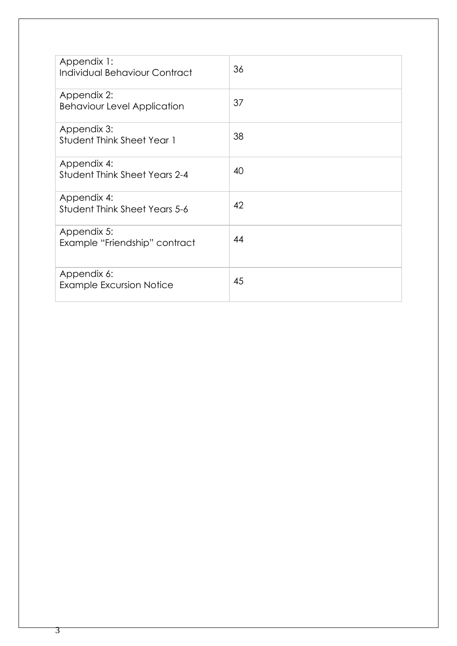| Appendix 1:<br>Individual Behaviour Contract        | 36 |
|-----------------------------------------------------|----|
| Appendix 2:<br><b>Behaviour Level Application</b>   | 37 |
| Appendix 3:<br><b>Student Think Sheet Year 1</b>    | 38 |
| Appendix 4:<br><b>Student Think Sheet Years 2-4</b> | 40 |
| Appendix 4:<br><b>Student Think Sheet Years 5-6</b> | 42 |
| Appendix 5:<br>Example "Friendship" contract        | 44 |
| Appendix 6:<br><b>Example Excursion Notice</b>      | 45 |

3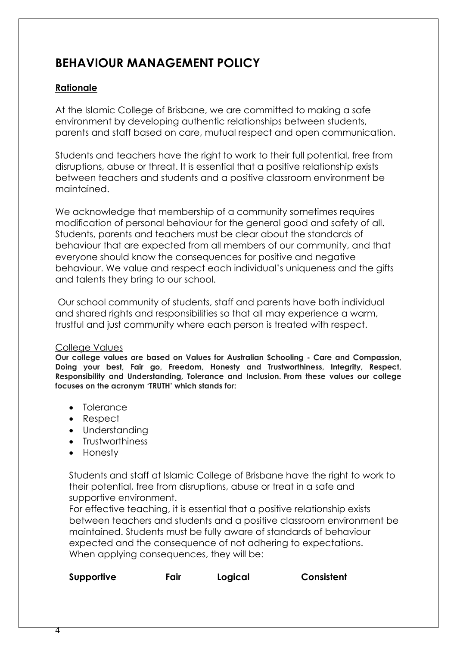### **BEHAVIOUR MANAGEMENT POLICY**

### **Rationale**

At the Islamic College of Brisbane, we are committed to making a safe environment by developing authentic relationships between students, parents and staff based on care, mutual respect and open communication.

Students and teachers have the right to work to their full potential, free from disruptions, abuse or threat. It is essential that a positive relationship exists between teachers and students and a positive classroom environment be maintained.

We acknowledge that membership of a community sometimes requires modification of personal behaviour for the general good and safety of all. Students, parents and teachers must be clear about the standards of behaviour that are expected from all members of our community, and that everyone should know the consequences for positive and negative behaviour. We value and respect each individual's uniqueness and the gifts and talents they bring to our school.

Our school community of students, staff and parents have both individual and shared rights and responsibilities so that all may experience a warm, trustful and just community where each person is treated with respect.

#### College Values

**Our college values are based on Values for Australian Schooling - Care and Compassion, Doing your best, Fair go, Freedom, Honesty and Trustworthiness, Integrity, Respect, Responsibility and Understanding, Tolerance and Inclusion. From these values our college focuses on the acronym 'TRUTH' which stands for:**

- Tolerance
- Respect
- Understanding
- Trustworthiness
- Honesty

Students and staff at Islamic College of Brisbane have the right to work to their potential, free from disruptions, abuse or treat in a safe and supportive environment.

For effective teaching, it is essential that a positive relationship exists between teachers and students and a positive classroom environment be maintained. Students must be fully aware of standards of behaviour expected and the consequence of not adhering to expectations. When applying consequences, they will be:

| Supportive | Fair | Logical | Consistent |
|------------|------|---------|------------|
|------------|------|---------|------------|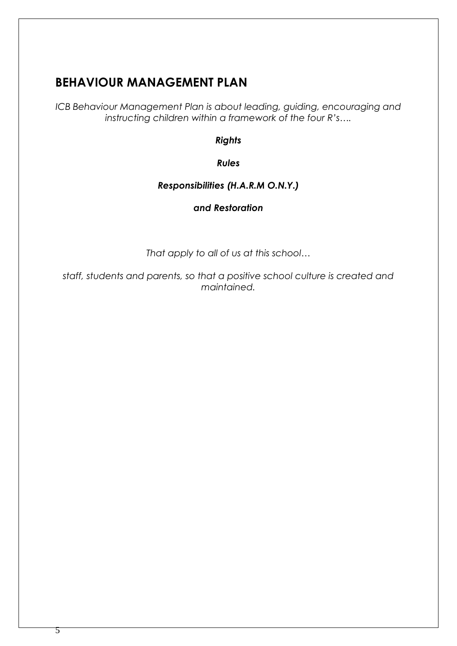### **BEHAVIOUR MANAGEMENT PLAN**

*ICB Behaviour Management Plan is about leading, guiding, encouraging and instructing children within a framework of the four R's….*

*Rights*

*Rules*

### *Responsibilities (H.A.R.M O.N.Y.)*

### *and Restoration*

*That apply to all of us at this school…*

*staff, students and parents, so that a positive school culture is created and maintained.*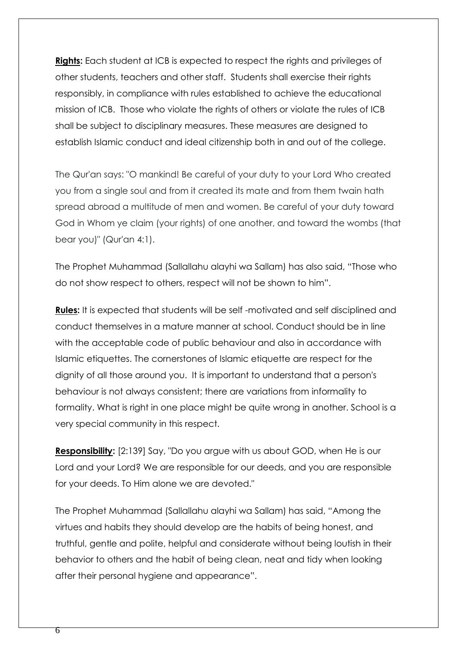**Rights:** Each student at ICB is expected to respect the rights and privileges of other students, teachers and other staff. Students shall exercise their rights responsibly, in compliance with rules established to achieve the educational mission of ICB. Those who violate the rights of others or violate the rules of ICB shall be subject to disciplinary measures. These measures are designed to establish Islamic conduct and ideal citizenship both in and out of the college.

The Qur'an says: "O mankind! Be careful of your duty to your Lord Who created you from a single soul and from it created its mate and from them twain hath spread abroad a multitude of men and women. Be careful of your duty toward God in Whom ye claim (your rights) of one another, and toward the wombs (that bear you)" (Qur'an 4:1).

The Prophet Muhammad (Sallallahu alayhi wa Sallam) has also said, "Those who do not show respect to others, respect will not be shown to him".

**Rules:** It is expected that students will be self -motivated and self disciplined and conduct themselves in a mature manner at school. Conduct should be in line with the acceptable code of public behaviour and also in accordance with Islamic etiquettes. The cornerstones of Islamic etiquette are respect for the dignity of all those around you. It is important to understand that a person's behaviour is not always consistent; there are variations from informality to formality. What is right in one place might be quite wrong in another. School is a very special community in this respect.

**Responsibility:** [2:139] Say, "Do you argue with us about GOD, when He is our Lord and your Lord? We are responsible for our deeds, and you are responsible for your deeds. To Him alone we are devoted."

The Prophet Muhammad (Sallallahu alayhi wa Sallam) has said, "Among the virtues and habits they should develop are the habits of being honest, and truthful, gentle and polite, helpful and considerate without being loutish in their behavior to others and the habit of being clean, neat and tidy when looking after their personal hygiene and appearance".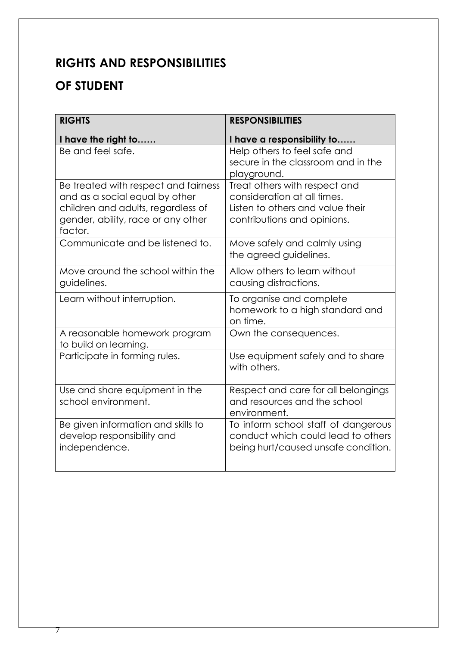### **RIGHTS AND RESPONSIBILITIES**

### **OF STUDENT**

| <b>RIGHTS</b>                                                                                                                                                 | <b>RESPONSIBILITIES</b>                                                                                                         |
|---------------------------------------------------------------------------------------------------------------------------------------------------------------|---------------------------------------------------------------------------------------------------------------------------------|
| I have the right to                                                                                                                                           | I have a responsibility to                                                                                                      |
| Be and feel safe.                                                                                                                                             | Help others to feel safe and<br>secure in the classroom and in the<br>playground.                                               |
| Be treated with respect and fairness<br>and as a social equal by other<br>children and adults, regardless of<br>gender, ability, race or any other<br>factor. | Treat others with respect and<br>consideration at all times.<br>Listen to others and value their<br>contributions and opinions. |
| Communicate and be listened to.                                                                                                                               | Move safely and calmly using<br>the agreed guidelines.                                                                          |
| Move around the school within the<br>guidelines.                                                                                                              | Allow others to learn without<br>causing distractions.                                                                          |
| Learn without interruption.                                                                                                                                   | To organise and complete<br>homework to a high standard and<br>on time.                                                         |
| A reasonable homework program<br>to build on learning.                                                                                                        | Own the consequences.                                                                                                           |
| Participate in forming rules.                                                                                                                                 | Use equipment safely and to share<br>with others.                                                                               |
| Use and share equipment in the<br>school environment.                                                                                                         | Respect and care for all belongings<br>and resources and the school<br>environment.                                             |
| Be given information and skills to<br>develop responsibility and<br>independence.                                                                             | To inform school staff of dangerous<br>conduct which could lead to others<br>being hurt/caused unsafe condition.                |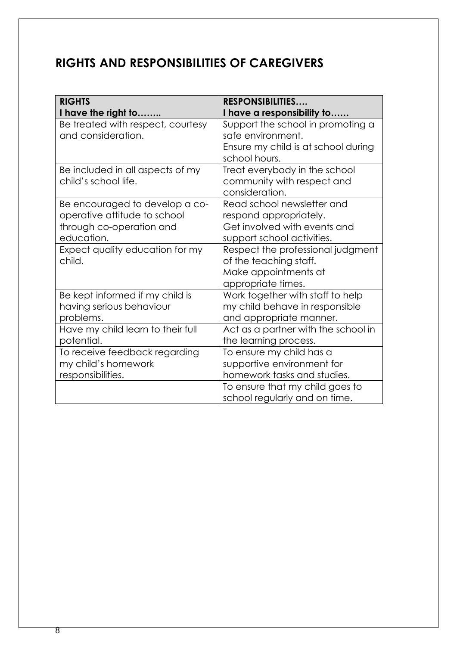### **RIGHTS AND RESPONSIBILITIES OF CAREGIVERS**

| <b>RIGHTS</b>                     | <b>RESPONSIBILITIES</b>             |
|-----------------------------------|-------------------------------------|
| I have the right to               | I have a responsibility to          |
| Be treated with respect, courtesy | Support the school in promoting a   |
| and consideration.                | safe environment.                   |
|                                   | Ensure my child is at school during |
|                                   | school hours.                       |
| Be included in all aspects of my  | Treat everybody in the school       |
| child's school life.              | community with respect and          |
|                                   | consideration.                      |
| Be encouraged to develop a co-    | Read school newsletter and          |
| operative attitude to school      | respond appropriately.              |
| through co-operation and          | Get involved with events and        |
| education.                        | support school activities.          |
| Expect quality education for my   | Respect the professional judgment   |
| child.                            | of the teaching staff.              |
|                                   | Make appointments at                |
|                                   | appropriate times.                  |
| Be kept informed if my child is   | Work together with staff to help    |
| having serious behaviour          | my child behave in responsible      |
| problems.                         | and appropriate manner.             |
| Have my child learn to their full | Act as a partner with the school in |
| potential.                        | the learning process.               |
| To receive feedback regarding     | To ensure my child has a            |
| my child's homework               | supportive environment for          |
| responsibilities.                 | homework tasks and studies.         |
|                                   | To ensure that my child goes to     |
|                                   | school regularly and on time.       |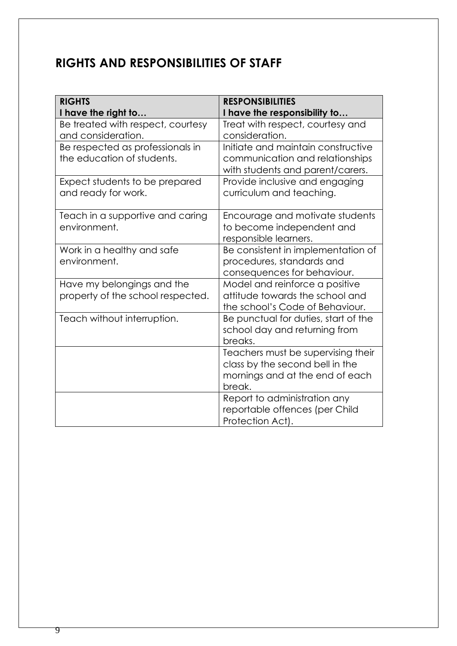### **RIGHTS AND RESPONSIBILITIES OF STAFF**

| <b>RIGHTS</b><br>I have the right to                            | <b>RESPONSIBILITIES</b><br>I have the responsibility to                                                            |
|-----------------------------------------------------------------|--------------------------------------------------------------------------------------------------------------------|
| Be treated with respect, courtesy<br>and consideration.         | Treat with respect, courtesy and<br>consideration.                                                                 |
| Be respected as professionals in<br>the education of students.  | Initiate and maintain constructive<br>communication and relationships<br>with students and parent/carers.          |
| Expect students to be prepared<br>and ready for work.           | Provide inclusive and engaging<br>curriculum and teaching.                                                         |
| Teach in a supportive and caring<br>environment.                | Encourage and motivate students<br>to become independent and<br>responsible learners.                              |
| Work in a healthy and safe<br>environment.                      | Be consistent in implementation of<br>procedures, standards and<br>consequences for behaviour.                     |
| Have my belongings and the<br>property of the school respected. | Model and reinforce a positive<br>attitude towards the school and<br>the school's Code of Behaviour.               |
| Teach without interruption.                                     | Be punctual for duties, start of the<br>school day and returning from<br>breaks.                                   |
|                                                                 | Teachers must be supervising their<br>class by the second bell in the<br>mornings and at the end of each<br>break. |
|                                                                 | Report to administration any<br>reportable offences (per Child<br>Protection Act).                                 |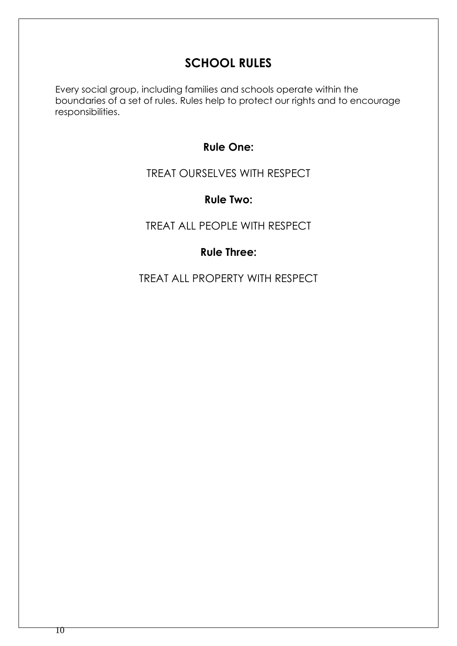### **SCHOOL RULES**

Every social group, including families and schools operate within the boundaries of a set of rules. Rules help to protect our rights and to encourage responsibilities.

### **Rule One:**

### TREAT OURSELVES WITH RESPECT

### **Rule Two:**

### TREAT ALL PEOPLE WITH RESPECT

### **Rule Three:**

TREAT ALL PROPERTY WITH RESPECT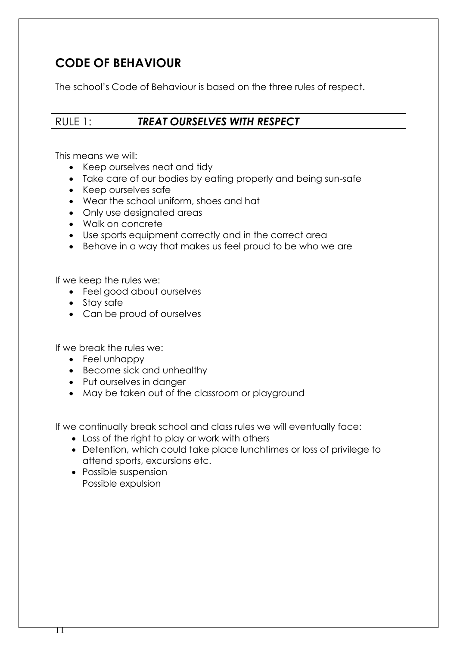### **CODE OF BEHAVIOUR**

The school's Code of Behaviour is based on the three rules of respect.

### RULE 1: *TREAT OURSELVES WITH RESPECT*

This means we will:

- Keep ourselves neat and tidy
- Take care of our bodies by eating properly and being sun-safe
- Keep ourselves safe
- Wear the school uniform, shoes and hat
- Only use designated areas
- Walk on concrete
- Use sports equipment correctly and in the correct area
- Behave in a way that makes us feel proud to be who we are

If we keep the rules we:

- Feel good about ourselves
- Stay safe
- Can be proud of ourselves

If we break the rules we:

- Feel unhappy
- Become sick and unhealthy
- Put ourselves in danger
- May be taken out of the classroom or playground

If we continually break school and class rules we will eventually face:

- Loss of the right to play or work with others
- Detention, which could take place lunchtimes or loss of privilege to attend sports, excursions etc.
- Possible suspension Possible expulsion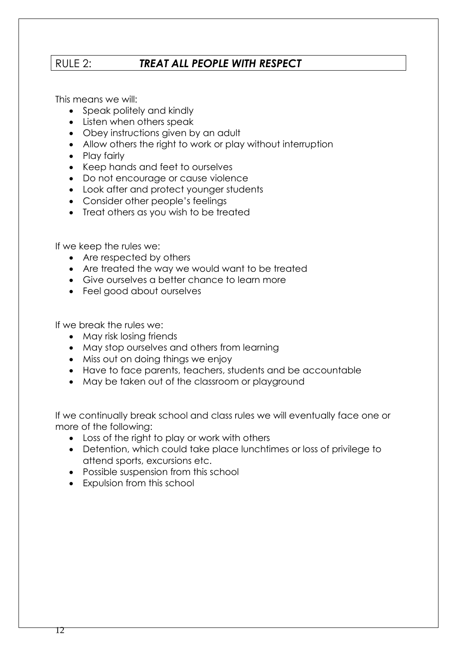### RULE 2:*TREAT ALL PEOPLE WITH RESPECT*

This means we will:

- Speak politely and kindly
- Listen when others speak
- Obey instructions given by an adult
- Allow others the right to work or play without interruption
- Play fairly
- Keep hands and feet to ourselves
- Do not encourage or cause violence
- Look after and protect younger students
- Consider other people's feelings
- Treat others as you wish to be treated

If we keep the rules we:

- Are respected by others
- Are treated the way we would want to be treated
- Give ourselves a better chance to learn more
- Feel good about ourselves

If we break the rules we:

- May risk losing friends
- May stop ourselves and others from learning
- Miss out on doing things we enjoy
- Have to face parents, teachers, students and be accountable
- May be taken out of the classroom or playground

If we continually break school and class rules we will eventually face one or more of the following:

- Loss of the right to play or work with others
- Detention, which could take place lunchtimes or loss of privilege to attend sports, excursions etc.
- Possible suspension from this school
- Expulsion from this school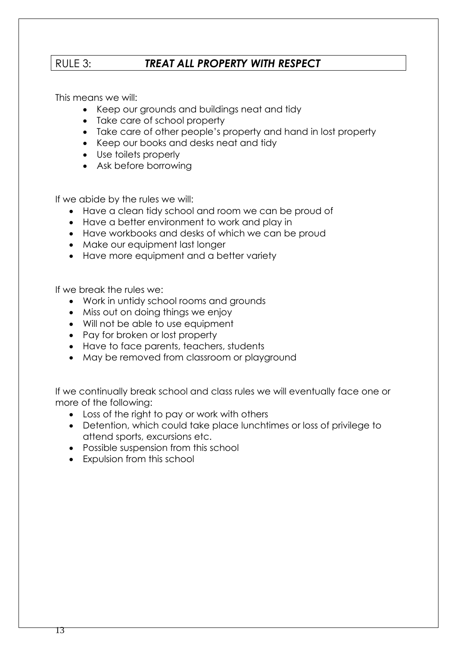### RULE 3: *TREAT ALL PROPERTY WITH RESPECT*

This means we will:

- Keep our grounds and buildings neat and tidy
- Take care of school property
- Take care of other people's property and hand in lost property
- Keep our books and desks neat and tidy
- Use toilets properly
- Ask before borrowing

If we abide by the rules we will:

- Have a clean tidy school and room we can be proud of
- Have a better environment to work and play in
- Have workbooks and desks of which we can be proud
- Make our equipment last longer
- Have more equipment and a better variety

If we break the rules we:

- Work in untidy school rooms and grounds
- Miss out on doing things we enjoy
- Will not be able to use equipment
- Pay for broken or lost property
- Have to face parents, teachers, students
- May be removed from classroom or playground

If we continually break school and class rules we will eventually face one or more of the following:

- Loss of the right to pay or work with others
- Detention, which could take place lunchtimes or loss of privilege to attend sports, excursions etc.
- Possible suspension from this school
- Expulsion from this school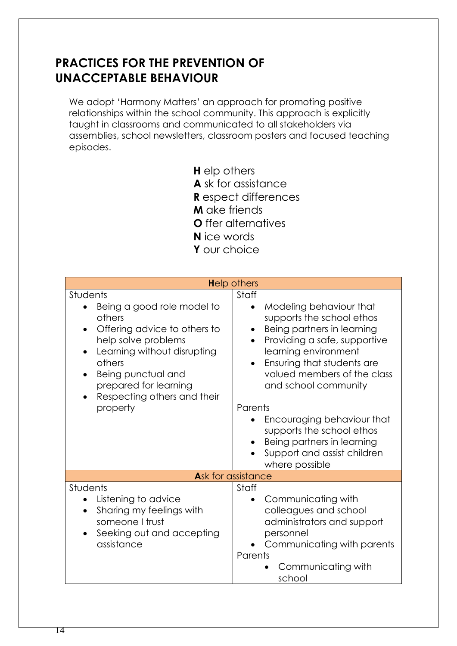### **PRACTICES FOR THE PREVENTION OF UNACCEPTABLE BEHAVIOUR**

We adopt 'Harmony Matters' an approach for promoting positive relationships within the school community. This approach is explicitly taught in classrooms and communicated to all stakeholders via assemblies, school newsletters, classroom posters and focused teaching episodes.

- **H** elp others
- **A** sk for assistance
- **R** espect differences
- **M** ake friends
- **O** ffer alternatives
- **N** ice words
- **Y** our choice

| <b>Help others</b>                                                                                                                                                                                                                                                   |                                                                                                                                                                                                                                                                                                         |  |
|----------------------------------------------------------------------------------------------------------------------------------------------------------------------------------------------------------------------------------------------------------------------|---------------------------------------------------------------------------------------------------------------------------------------------------------------------------------------------------------------------------------------------------------------------------------------------------------|--|
| Students<br>Being a good role model to<br>others<br>Offering advice to others to<br>$\bullet$<br>help solve problems<br>Learning without disrupting<br>others<br>Being punctual and<br>$\bullet$<br>prepared for learning<br>Respecting others and their<br>property | Staff<br>Modeling behaviour that<br>$\bullet$<br>supports the school ethos<br>Being partners in learning<br>$\bullet$<br>Providing a safe, supportive<br>$\bullet$<br>learning environment<br>Ensuring that students are<br>$\bullet$<br>valued members of the class<br>and school community<br>Parents |  |
|                                                                                                                                                                                                                                                                      | Encouraging behaviour that<br>supports the school ethos<br>Being partners in learning<br>Support and assist children<br>where possible                                                                                                                                                                  |  |
| Ask for assistance                                                                                                                                                                                                                                                   |                                                                                                                                                                                                                                                                                                         |  |
| Students<br>Listening to advice<br>Sharing my feelings with<br>$\bullet$<br>someone I trust<br>Seeking out and accepting<br>assistance                                                                                                                               | Staff<br>Communicating with<br>$\bullet$<br>colleagues and school<br>administrators and support<br>personnel<br>Communicating with parents<br>Parents<br>Communicating with<br>school                                                                                                                   |  |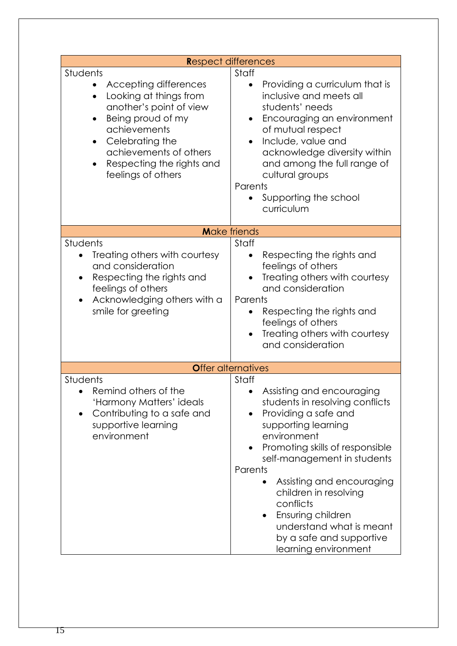| Respect differences                                                                                                                                                                                                                                                             |                                                                                                                                                                                                                                                                                                                                                                                                       |  |
|---------------------------------------------------------------------------------------------------------------------------------------------------------------------------------------------------------------------------------------------------------------------------------|-------------------------------------------------------------------------------------------------------------------------------------------------------------------------------------------------------------------------------------------------------------------------------------------------------------------------------------------------------------------------------------------------------|--|
| Students<br>Accepting differences<br>$\bullet$<br>Looking at things from<br>$\bullet$<br>another's point of view<br>Being proud of my<br>$\bullet$<br>achievements<br>Celebrating the<br>$\bullet$<br>achievements of others<br>Respecting the rights and<br>feelings of others | Staff<br>Providing a curriculum that is<br>$\bullet$<br>inclusive and meets all<br>students' needs<br>Encouraging an environment<br>$\bullet$<br>of mutual respect<br>Include, value and<br>acknowledge diversity within<br>and among the full range of<br>cultural groups<br>Parents<br>Supporting the school<br>$\bullet$<br>curriculum                                                             |  |
| <b>Make friends</b>                                                                                                                                                                                                                                                             |                                                                                                                                                                                                                                                                                                                                                                                                       |  |
| Students<br>Treating others with courtesy<br>and consideration<br>Respecting the rights and<br>feelings of others<br>Acknowledging others with a<br>smile for greeting                                                                                                          | Staff<br>Respecting the rights and<br>feelings of others<br>Treating others with courtesy<br>and consideration<br>Parents<br>Respecting the rights and<br>feelings of others<br>Treating others with courtesy<br>and consideration                                                                                                                                                                    |  |
|                                                                                                                                                                                                                                                                                 | <b>Offer alternatives</b>                                                                                                                                                                                                                                                                                                                                                                             |  |
| Students<br>Remind others of the<br>'Harmony Matters' ideals<br>Contributing to a safe and<br>supportive learning<br>environment                                                                                                                                                | Staff<br>Assisting and encouraging<br>students in resolving conflicts<br>Providing a safe and<br>supporting learning<br>environment<br>Promoting skills of responsible<br>self-management in students<br>Parents<br>Assisting and encouraging<br>children in resolving<br>conflicts<br>Ensuring children<br>$\bullet$<br>understand what is meant<br>by a safe and supportive<br>learning environment |  |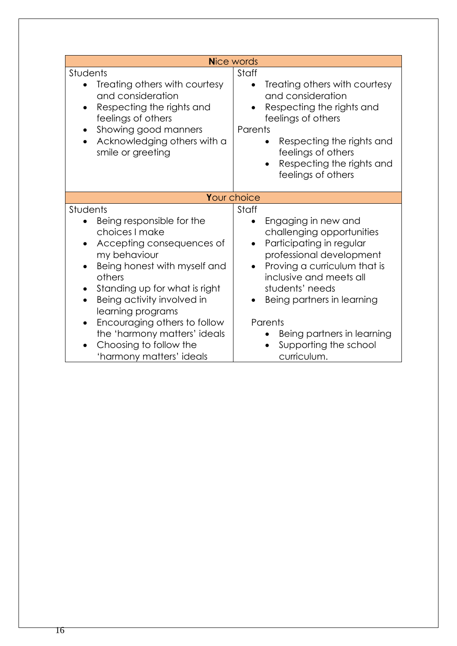| Staff<br>Treating others with courtesy<br>$\bullet$<br>and consideration<br>Respecting the rights and                                                                                                                                                                                                                                  |
|----------------------------------------------------------------------------------------------------------------------------------------------------------------------------------------------------------------------------------------------------------------------------------------------------------------------------------------|
| feelings of others<br>Parents<br>Respecting the rights and<br>feelings of others<br>Respecting the rights and<br>$\bullet$<br>feelings of others                                                                                                                                                                                       |
| Your choice                                                                                                                                                                                                                                                                                                                            |
| Staff<br>Engaging in new and<br>$\bullet$<br>challenging opportunities<br>Participating in regular<br>professional development<br>Proving a curriculum that is<br>$\bullet$<br>inclusive and meets all<br>students' needs<br>Being partners in learning<br>$\bullet$<br>Parents<br>Being partners in learning<br>Supporting the school |
|                                                                                                                                                                                                                                                                                                                                        |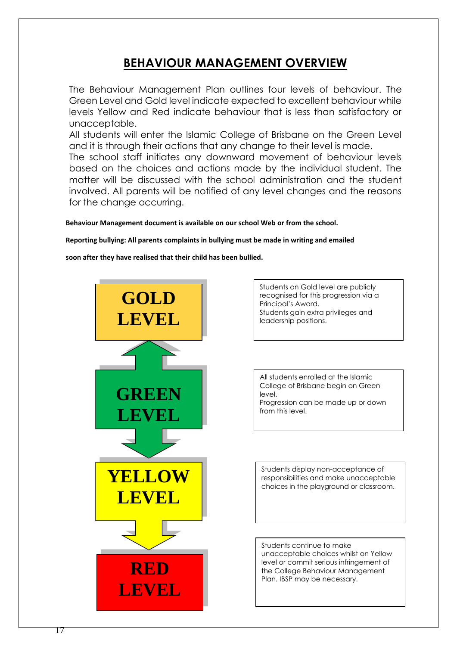### **BEHAVIOUR MANAGEMENT OVERVIEW**

The Behaviour Management Plan outlines four levels of behaviour. The Green Level and Gold level indicate expected to excellent behaviour while levels Yellow and Red indicate behaviour that is less than satisfactory or unacceptable.

All students will enter the Islamic College of Brisbane on the Green Level and it is through their actions that any change to their level is made.

The school staff initiates any downward movement of behaviour levels based on the choices and actions made by the individual student. The matter will be discussed with the school administration and the student involved. All parents will be notified of any level changes and the reasons for the change occurring.

 **Behaviour Management document is available on our school Web or from the school.**

 **Reporting bullying: All parents complaints in bullying must be made in writing and emailed** 

 **soon after they have realised that their child has been bullied.** 



Students on Gold level are publicly recognised for this progression via a Principal's Award. Students gain extra privileges and leadership positions.

All students enrolled at the Islamic College of Brisbane begin on Green level. Progression can be made up or down from this level.

Students display non-acceptance of responsibilities and make unacceptable choices in the playground or classroom.

Students continue to make unacceptable choices whilst on Yellow level or commit serious infringement of the College Behaviour Management Plan. IBSP may be necessary.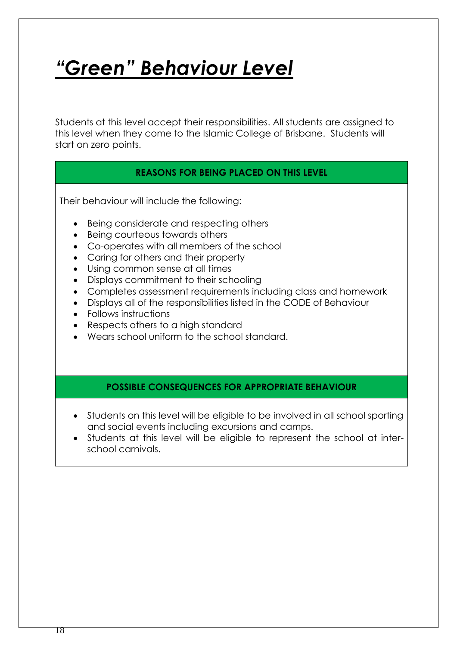# *"Green" Behaviour Level*

Students at this level accept their responsibilities. All students are assigned to this level when they come to the Islamic College of Brisbane. Students will start on zero points.

### **REASONS FOR BEING PLACED ON THIS LEVEL**

Their behaviour will include the following:

- Being considerate and respecting others
- Being courteous towards others
- Co-operates with all members of the school
- Caring for others and their property
- Using common sense at all times
- Displays commitment to their schooling
- Completes assessment requirements including class and homework
- Displays all of the responsibilities listed in the CODE of Behaviour
- Follows instructions
- Respects others to a high standard
- Wears school uniform to the school standard.

#### **POSSIBLE CONSEQUENCES FOR APPROPRIATE BEHAVIOUR**

- Students on this level will be eligible to be involved in all school sporting and social events including excursions and camps.
- Students at this level will be eligible to represent the school at interschool carnivals.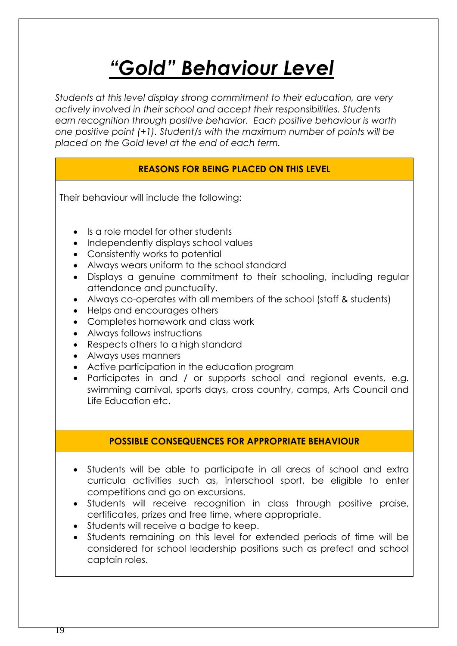# *"Gold" Behaviour Level*

*Students at this level display strong commitment to their education, are very actively involved in their school and accept their responsibilities. Students earn recognition through positive behavior. Each positive behaviour is worth one positive point (+1). Student/s with the maximum number of points will be placed on the Gold level at the end of each term.*

### **REASONS FOR BEING PLACED ON THIS LEVEL**

Their behaviour will include the following:

- Is a role model for other students
- Independently displays school values
- Consistently works to potential
- Always wears uniform to the school standard
- Displays a genuine commitment to their schooling, including regular attendance and punctuality.
- Always co-operates with all members of the school (staff & students)
- Helps and encourages others
- Completes homework and class work
- Always follows instructions
- Respects others to a high standard
- Always uses manners
- Active participation in the education program
- Participates in and / or supports school and regional events, e.g. swimming carnival, sports days, cross country, camps, Arts Council and Life Education etc.

#### **POSSIBLE CONSEQUENCES FOR APPROPRIATE BEHAVIOUR**

- Students will be able to participate in all areas of school and extra curricula activities such as, interschool sport, be eligible to enter competitions and go on excursions.
- Students will receive recognition in class through positive praise, certificates, prizes and free time, where appropriate.
- Students will receive a badge to keep.
- Students remaining on this level for extended periods of time will be considered for school leadership positions such as prefect and school captain roles.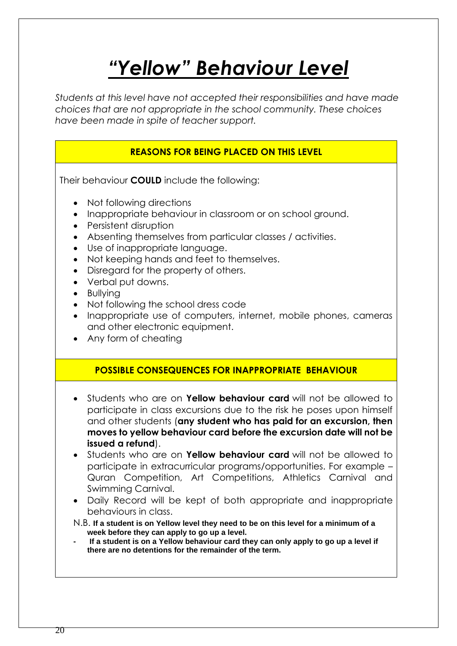# *"Yellow" Behaviour Level*

*Students at this level have not accepted their responsibilities and have made choices that are not appropriate in the school community. These choices have been made in spite of teacher support.* 

### **REASONS FOR BEING PLACED ON THIS LEVEL**

Their behaviour **COULD** include the following:

- Not following directions
- Inappropriate behaviour in classroom or on school ground.
- Persistent disruption
- Absenting themselves from particular classes / activities.
- Use of inappropriate language.
- Not keeping hands and feet to themselves.
- Disregard for the property of others.
- Verbal put downs.
- Bullying
- Not following the school dress code
- Inappropriate use of computers, internet, mobile phones, cameras and other electronic equipment.
- Any form of cheating

#### **POSSIBLE CONSEQUENCES FOR INAPPROPRIATE BEHAVIOUR**

- Students who are on **Yellow behaviour card** will not be allowed to participate in class excursions due to the risk he poses upon himself and other students (**any student who has paid for an excursion, then moves to yellow behaviour card before the excursion date will not be issued a refund**).
- Students who are on **Yellow behaviour card** will not be allowed to participate in extracurricular programs/opportunities. For example – Quran Competition, Art Competitions, Athletics Carnival and Swimming Carnival.
- Daily Record will be kept of both appropriate and inappropriate behaviours in class.
- N.B. **If a student is on Yellow level they need to be on this level for a minimum of a week before they can apply to go up a level.**
- **- If a student is on a Yellow behaviour card they can only apply to go up a level if there are no detentions for the remainder of the term.**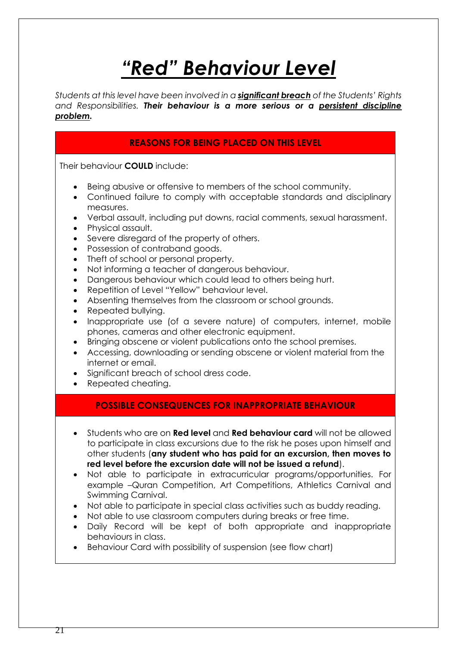# *"Red" Behaviour Level*

*Students at this level have been involved in a significant breach of the Students' Rights and Responsibilities. Their behaviour is a more serious or a persistent discipline problem.*

### **REASONS FOR BEING PLACED ON THIS LEVEL**

Their behaviour **COULD** include:

- Being abusive or offensive to members of the school community.
- Continued failure to comply with acceptable standards and disciplinary measures.
- Verbal assault, including put downs, racial comments, sexual harassment.
- Physical assault.
- Severe disregard of the property of others.
- Possession of contraband goods.
- Theft of school or personal property.
- Not informing a teacher of dangerous behaviour.
- Dangerous behaviour which could lead to others being hurt.
- Repetition of Level "Yellow" behaviour level.
- Absenting themselves from the classroom or school grounds.
- Repeated bullying.
- Inappropriate use (of a severe nature) of computers, internet, mobile phones, cameras and other electronic equipment.
- Bringing obscene or violent publications onto the school premises.
- Accessing, downloading or sending obscene or violent material from the internet or email.
- Significant breach of school dress code.
- Repeated cheating.

#### **POSSIBLE CONSEQUENCES FOR INAPPROPRIATE BEHAVIOUR**

- Students who are on **Red level** and **Red behaviour card** will not be allowed to participate in class excursions due to the risk he poses upon himself and other students (**any student who has paid for an excursion, then moves to red level before the excursion date will not be issued a refund**).
- Not able to participate in extracurricular programs/opportunities. For example –Quran Competition, Art Competitions, Athletics Carnival and Swimming Carnival.
- Not able to participate in special class activities such as buddy reading.
- Not able to use classroom computers during breaks or free time.
- Daily Record will be kept of both appropriate and inappropriate behaviours in class.
- Behaviour Card with possibility of suspension (see flow chart)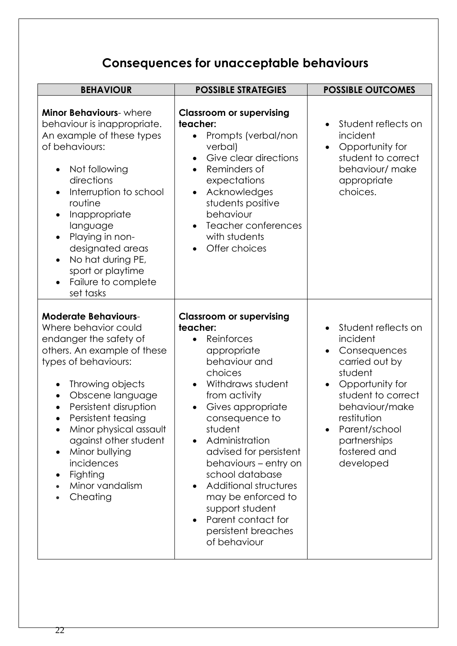## **Consequences for unacceptable behaviours**

| <b>BEHAVIOUR</b>                                                                                                                                                                                                                                                                                                                                                                                              | <b>POSSIBLE STRATEGIES</b>                                                                                                                                                                                                                                                                                                                                                                                                       |                                                                                                                                                                                                                      |
|---------------------------------------------------------------------------------------------------------------------------------------------------------------------------------------------------------------------------------------------------------------------------------------------------------------------------------------------------------------------------------------------------------------|----------------------------------------------------------------------------------------------------------------------------------------------------------------------------------------------------------------------------------------------------------------------------------------------------------------------------------------------------------------------------------------------------------------------------------|----------------------------------------------------------------------------------------------------------------------------------------------------------------------------------------------------------------------|
| <b>Minor Behaviours-</b> where<br>behaviour is inappropriate.<br>An example of these types<br>of behaviours:<br>Not following<br>$\bullet$<br>directions<br>Interruption to school<br>routine<br>Inappropriate<br>language<br>Playing in non-<br>designated areas<br>No hat during PE,<br>$\bullet$<br>sport or playtime<br>Failure to complete<br>set tasks                                                  | <b>Classroom or supervising</b><br>teacher:<br>Prompts (verbal/non<br>$\bullet$<br>verbal)<br>Give clear directions<br>Reminders of<br>expectations<br>Acknowledges<br>students positive<br>behaviour<br>Teacher conferences<br>with students<br>Offer choices                                                                                                                                                                   | Student reflects on<br>incident<br>Opportunity for<br>$\bullet$<br>student to correct<br>behaviour/ make<br>appropriate<br>choices.                                                                                  |
| <b>Moderate Behaviours-</b><br>Where behavior could<br>endanger the safety of<br>others. An example of these<br>types of behaviours:<br>Throwing objects<br>$\bullet$<br>Obscene language<br>$\bullet$<br>Persistent disruption<br>$\bullet$<br>Persistent teasing<br>$\bullet$<br>Minor physical assault<br>against other student<br>Minor bullying<br>incidences<br>Fighting<br>Minor vandalism<br>Cheating | <b>Classroom or supervising</b><br>teacher:<br>Reinforces<br>appropriate<br>behaviour and<br>choices<br>Withdraws student<br>from activity<br>Gives appropriate<br>consequence to<br>student<br>Administration<br>advised for persistent<br>behaviours – entry on<br>school database<br>Additional structures<br>may be enforced to<br>support student<br>Parent contact for<br>$\bullet$<br>persistent breaches<br>of behaviour | Student reflects on<br>incident<br>Consequences<br>carried out by<br>student<br>Opportunity for<br>student to correct<br>behaviour/make<br>restitution<br>Parent/school<br>partnerships<br>fostered and<br>developed |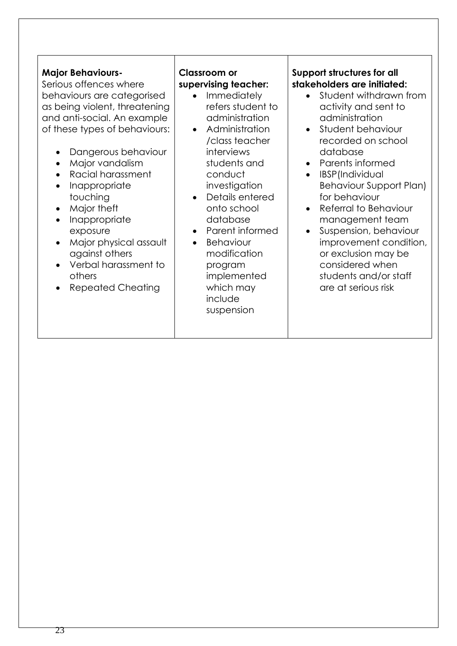#### **Major Behaviours-**

Serious offences where behaviours are categorised as being violent, threatening and anti-social. An example of these types of behaviours:

- Dangerous behaviour
- Major vandalism
- Racial harassment
- Inappropriate touching
- Major theft
- Inappropriate exposure
- Major physical assault against others
- Verbal harassment to others
- Repeated Cheating

### **Classroom or supervising teacher:**

- Immediately refers student to administration
- Administration /class teacher interviews students and conduct investigation
- Details entered onto school database
- Parent informed
- Behaviour modification program implemented which may include suspension

#### **Support structures for all stakeholders are initiated:**

- Student withdrawn from activity and sent to administration
- Student behaviour recorded on school database
- Parents informed
- IBSP(Individual Behaviour Support Plan) for behaviour
- Referral to Behaviour management team
- Suspension, behaviour improvement condition, or exclusion may be considered when students and/or staff are at serious risk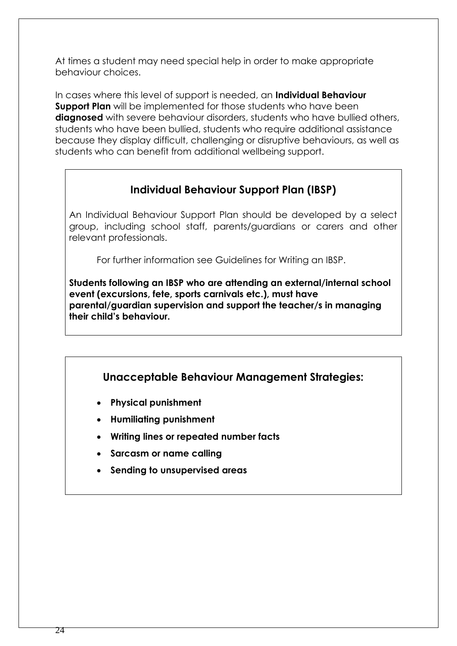At times a student may need special help in order to make appropriate behaviour choices.

In cases where this level of support is needed, an **Individual Behaviour Support Plan** will be implemented for those students who have been **diagnosed** with severe behaviour disorders, students who have bullied others, students who have been bullied, students who require additional assistance because they display difficult, challenging or disruptive behaviours, as well as students who can benefit from additional wellbeing support.

### **Individual Behaviour Support Plan (IBSP)**

An Individual Behaviour Support Plan should be developed by a select group, including school staff, parents/guardians or carers and other relevant professionals.

For further information see Guidelines for Writing an IBSP.

**Students following an IBSP who are attending an external/internal school event (excursions, fete, sports carnivals etc.), must have parental/guardian supervision and support the teacher/s in managing their child's behaviour.** 

### **Unacceptable Behaviour Management Strategies:**

- **Physical punishment**
- **Humiliating punishment**
- **Writing lines or repeated number facts**
- **Sarcasm or name calling**
- **Sending to unsupervised areas**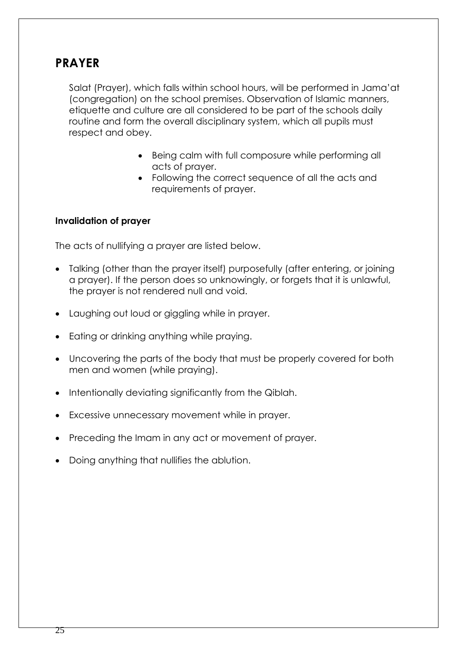### **PRAYER**

Salat (Prayer), which falls within school hours, will be performed in Jama'at (congregation) on the school premises. Observation of Islamic manners, etiquette and culture are all considered to be part of the schools daily routine and form the overall disciplinary system, which all pupils must respect and obey.

- Being calm with full composure while performing all acts of prayer.
- Following the correct sequence of all the acts and requirements of prayer.

#### **Invalidation of prayer**

The acts of nullifying a prayer are listed below.

- Talking (other than the prayer itself) purposefully (after entering, or joining a prayer). If the person does so unknowingly, or forgets that it is unlawful, the prayer is not rendered null and void.
- Laughing out loud or giggling while in prayer.
- Eating or drinking anything while praying.
- Uncovering the parts of the body that must be properly covered for both men and women (while praying).
- Intentionally deviating significantly from the Qiblah.
- Excessive unnecessary movement while in prayer.
- Preceding the Imam in any act or movement of prayer.
- Doing anything that nullifies the ablution.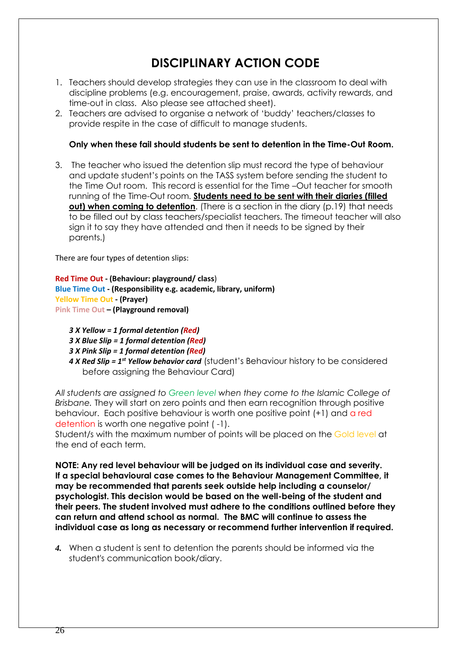### **DISCIPLINARY ACTION CODE**

- 1. Teachers should develop strategies they can use in the classroom to deal with discipline problems (e.g. encouragement, praise, awards, activity rewards, and time-out in class. Also please see attached sheet).
- 2. Teachers are advised to organise a network of 'buddy' teachers/classes to provide respite in the case of difficult to manage students.

#### **Only when these fail should students be sent to detention in the Time-Out Room.**

3. The teacher who issued the detention slip must record the type of behaviour and update student's points on the TASS system before sending the student to the Time Out room. This record is essential for the Time –Out teacher for smooth running of the Time-Out room. **Students need to be sent with their diaries (filled out) when coming to detention.** (There is a section in the diary (p.19) that needs to be filled out by class teachers/specialist teachers. The timeout teacher will also sign it to say they have attended and then it needs to be signed by their parents.)

There are four types of detention slips:

**Red Time Out - (Behaviour: playground/ class**) **Blue Time Out - (Responsibility e.g. academic, library, uniform) Yellow Time Out - (Prayer) Pink Time Out – (Playground removal)**

- *3 X Yellow = 1 formal detention (Red)*
- *3 X Blue Slip = 1 formal detention (Red)*
- *3 X Pink Slip = 1 formal detention (Red)*
- *4 X Red Slip = 1st Yellow behavior card* (student's Behaviour history to be considered before assigning the Behaviour Card)

*All students are assigned to Green level when they come to the Islamic College of Brisbane.* They will start on zero points and then earn recognition through positive behaviour. Each positive behaviour is worth one positive point (+1) and a red detention is worth one negative point ( -1).

Student/s with the maximum number of points will be placed on the Gold level at the end of each term.

**NOTE: Any red level behaviour will be judged on its individual case and severity. If a special behavioural case comes to the Behaviour Management Committee, it may be recommended that parents seek outside help including a counselor/ psychologist. This decision would be based on the well-being of the student and their peers. The student involved must adhere to the conditions outlined before they can return and attend school as normal. The BMC will continue to assess the individual case as long as necessary or recommend further intervention if required.**

*4.* When a student is sent to detention the parents should be informed via the student's communication book/diary.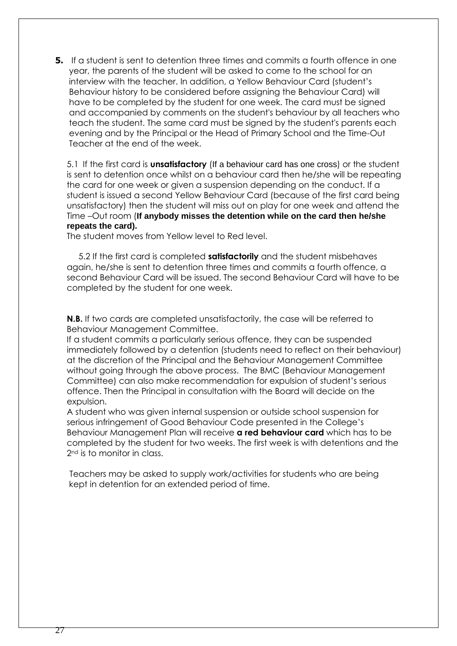**5.** If a student is sent to detention three times and commits a fourth offence in one year, the parents of the student will be asked to come to the school for an interview with the teacher. In addition, a Yellow Behaviour Card (student's Behaviour history to be considered before assigning the Behaviour Card) will have to be completed by the student for one week. The card must be signed and accompanied by comments on the student's behaviour by all teachers who teach the student. The same card must be signed by the student's parents each evening and by the Principal or the Head of Primary School and the Time-Out Teacher at the end of the week.

5.1 If the first card is **unsatisfactory** (If a behaviour card has one cross) or the student is sent to detention once whilst on a behaviour card then he/she will be repeating the card for one week or given a suspension depending on the conduct. If a student is issued a second Yellow Behaviour Card (because of the first card being unsatisfactory) then the student will miss out on play for one week and attend the Time –Out room (**If anybody misses the detention while on the card then he/she repeats the card).**

The student moves from Yellow level to Red level.

 5.2 If the first card is completed **satisfactorily** and the student misbehaves again, he/she is sent to detention three times and commits a fourth offence, a second Behaviour Card will be issued. The second Behaviour Card will have to be completed by the student for one week.

**N.B.** If two cards are completed unsatisfactorily, the case will be referred to Behaviour Management Committee.

If a student commits a particularly serious offence, they can be suspended immediately followed by a detention (students need to reflect on their behaviour) at the discretion of the Principal and the Behaviour Management Committee without going through the above process. The BMC (Behaviour Management Committee) can also make recommendation for expulsion of student's serious offence. Then the Principal in consultation with the Board will decide on the expulsion.

A student who was given internal suspension or outside school suspension for serious infringement of Good Behaviour Code presented in the College's Behaviour Management Plan will receive **a red behaviour card** which has to be completed by the student for two weeks. The first week is with detentions and the 2nd is to monitor in class.

Teachers may be asked to supply work/activities for students who are being kept in detention for an extended period of time.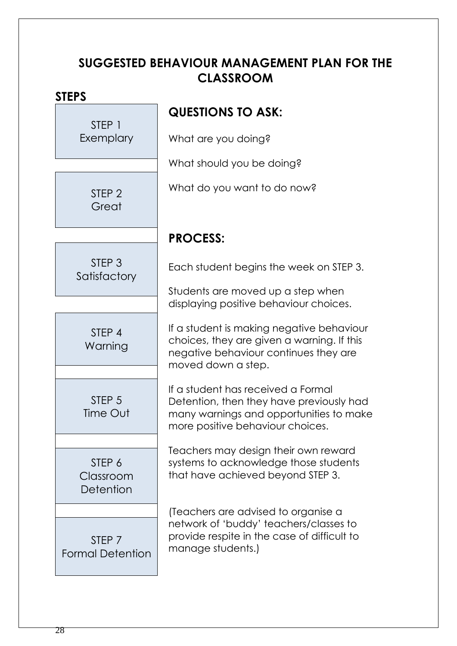### **SUGGESTED BEHAVIOUR MANAGEMENT PLAN FOR THE CLASSROOM**

### **STEPS**

STEP 1 Exemplary

> STEP 2 **Great**

### **QUESTIONS TO ASK:**

What are you doing?

What should you be doing?

What do you want to do now?

STEP 3 **Satisfactory** 

> STEP 4 Warning

STFP<sub>5</sub> Time Out

STEP 6 Classroom **Detention** 

STEP 7 Formal Detention **PROCESS:**

Each student begins the week on STEP 3.

Students are moved up a step when displaying positive behaviour choices.

If a student is making negative behaviour choices, they are given a warning. If this negative behaviour continues they are moved down a step.

If a student has received a Formal Detention, then they have previously had many warnings and opportunities to make more positive behaviour choices.

Teachers may design their own reward systems to acknowledge those students that have achieved beyond STEP 3.

(Teachers are advised to organise a network of 'buddy' teachers/classes to provide respite in the case of difficult to manage students.)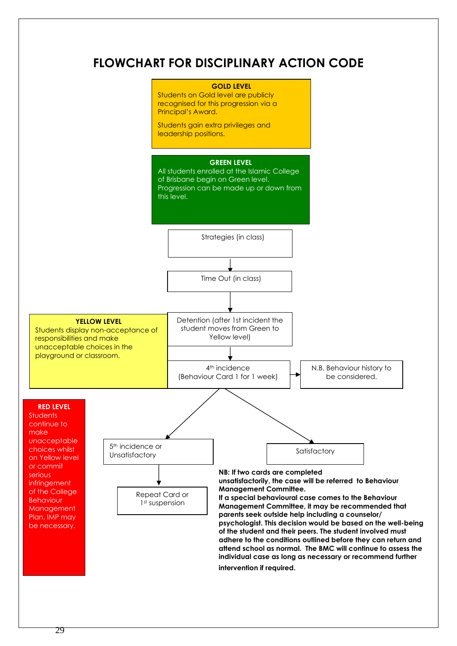### **FLOWCHART FOR DISCIPLINARY ACTION CODE**

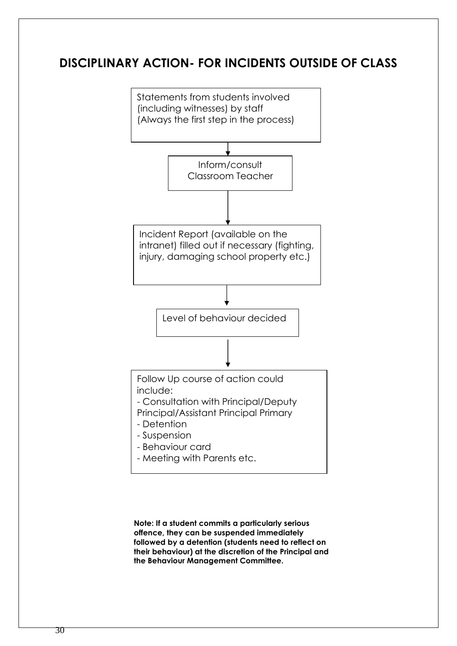### **DISCIPLINARY ACTION- FOR INCIDENTS OUTSIDE OF CLASS**



**Note: If a student commits a particularly serious offence, they can be suspended immediately followed by a detention (students need to reflect on their behaviour) at the discretion of the Principal and the Behaviour Management Committee.**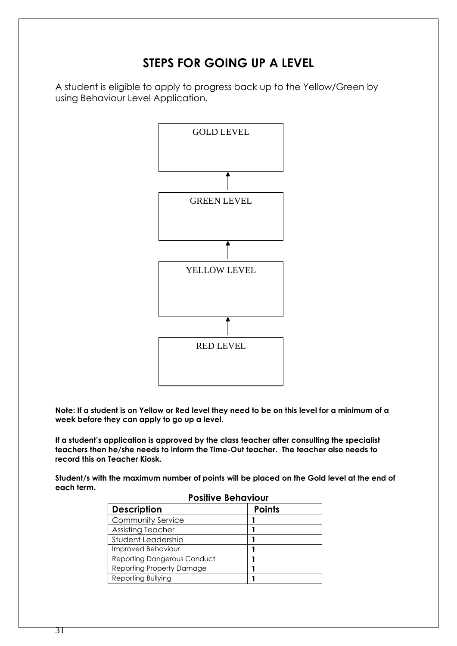### **STEPS FOR GOING UP A LEVEL**

A student is eligible to apply to progress back up to the Yellow/Green by using Behaviour Level Application.



**Note: If a student is on Yellow or Red level they need to be on this level for a minimum of a week before they can apply to go up a level.** 

**If a student's application is approved by the class teacher after consulting the specialist teachers then he/she needs to inform the Time-Out teacher. The teacher also needs to record this on Teacher Kiosk.**

**Student/s with the maximum number of points will be placed on the Gold level at the end of each term.**

| <b>Positive Behaviour</b>          |               |  |
|------------------------------------|---------------|--|
| <b>Description</b>                 | <b>Points</b> |  |
| <b>Community Service</b>           |               |  |
| Assisting Teacher                  |               |  |
| Student Leadership                 |               |  |
| Improved Behaviour                 |               |  |
| <b>Reporting Dangerous Conduct</b> |               |  |
| Reporting Property Damage          |               |  |
| Reporting Bullying                 |               |  |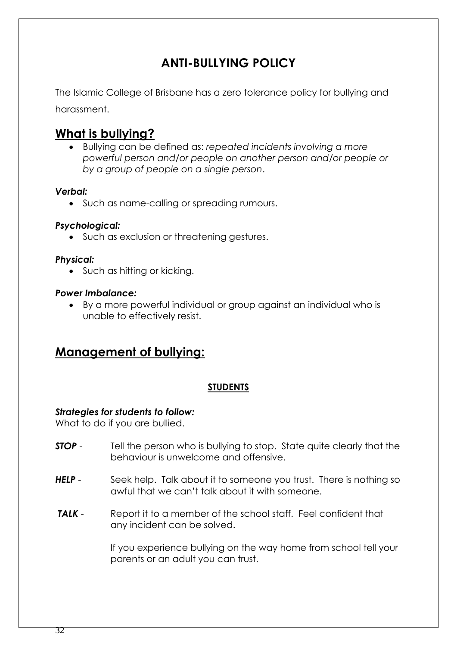### **ANTI-BULLYING POLICY**

The Islamic College of Brisbane has a zero tolerance policy for bullying and harassment.

### **What is bullying?**

• Bullying can be defined as: *repeated incidents involving a more powerful person and/or people on another person and/or people or by a group of people on a single person*.

#### *Verbal:*

• Such as name-calling or spreading rumours.

#### *Psychological:*

• Such as exclusion or threatening gestures.

#### *Physical:*

• Such as hitting or kicking.

#### *Power Imbalance:*

• By a more powerful individual or group against an individual who is unable to effectively resist.

### **Management of bullying:**

#### **STUDENTS**

#### *Strategies for students to follow:*

What to do if you are bullied.

- **STOP** Tell the person who is bullying to stop. State quite clearly that the behaviour is unwelcome and offensive.
- **HELP** Seek help. Talk about it to someone you trust. There is nothing so awful that we can't talk about it with someone.
- **TALK** Report it to a member of the school staff. Feel confident that any incident can be solved.

If you experience bullying on the way home from school tell your parents or an adult you can trust.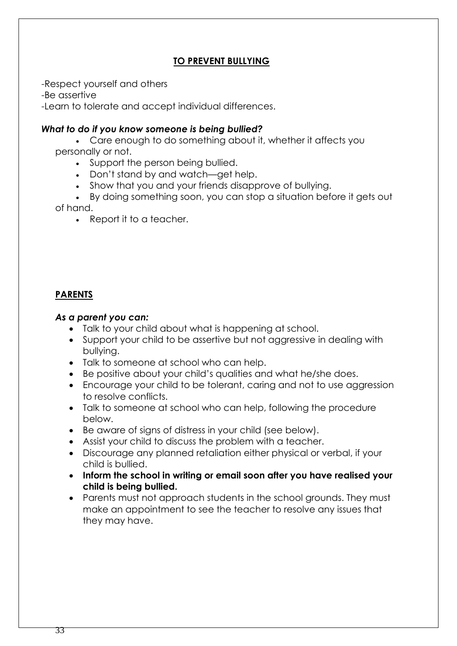#### **TO PREVENT BULLYING**

-Respect yourself and others

-Be assertive

-Learn to tolerate and accept individual differences.

#### *What to do if you know someone is being bullied?*

• Care enough to do something about it, whether it affects you personally or not.

- Support the person being bullied.
- Don't stand by and watch—get help.
- Show that you and your friends disapprove of bullying.
- By doing something soon, you can stop a situation before it gets out of hand.
	- Report it to a teacher.

#### **PARENTS**

#### *As a parent you can:*

- Talk to your child about what is happening at school.
- Support your child to be assertive but not aggressive in dealing with bullying.
- Talk to someone at school who can help.
- Be positive about your child's qualities and what he/she does.
- Encourage your child to be tolerant, caring and not to use aggression to resolve conflicts.
- Talk to someone at school who can help, following the procedure below.
- Be aware of signs of distress in your child (see below).
- Assist your child to discuss the problem with a teacher.
- Discourage any planned retaliation either physical or verbal, if your child is bullied.
- **Inform the school in writing or email soon after you have realised your child is being bullied.**
- Parents must not approach students in the school grounds. They must make an appointment to see the teacher to resolve any issues that they may have.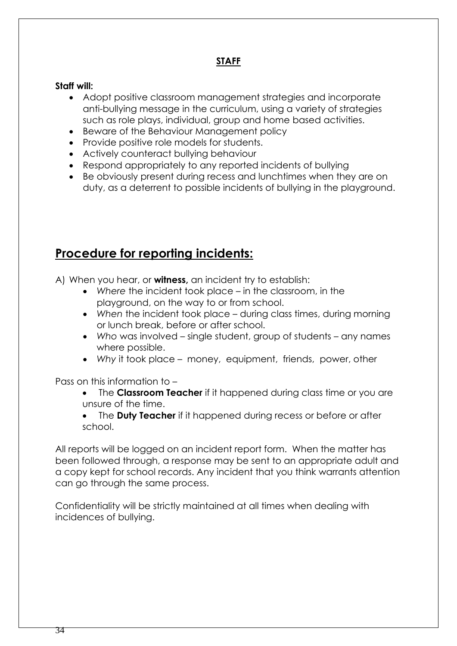### **STAFF**

#### **Staff will:**

- Adopt positive classroom management strategies and incorporate anti-bullying message in the curriculum, using a variety of strategies such as role plays, individual, group and home based activities.
- Beware of the Behaviour Management policy
- Provide positive role models for students.
- Actively counteract bullying behaviour
- Respond appropriately to any reported incidents of bullying
- Be obviously present during recess and lunchtimes when they are on duty, as a deterrent to possible incidents of bullying in the playground.

### **Procedure for reporting incidents:**

A) When you hear, or **witness,** an incident try to establish:

- *Where* the incident took place in the classroom, in the playground, on the way to or from school.
- When the incident took place during class times, during morning or lunch break, before or after school.
- *Who* was involved single student, group of students any names where possible.
- *Why* it took place money, equipment, friends, power, other

Pass on this information to –

- The **Classroom Teacher** if it happened during class time or you are unsure of the time.
- The **Duty Teacher** if it happened during recess or before or after school.

All reports will be logged on an incident report form. When the matter has been followed through, a response may be sent to an appropriate adult and a copy kept for school records. Any incident that you think warrants attention can go through the same process.

Confidentiality will be strictly maintained at all times when dealing with incidences of bullying.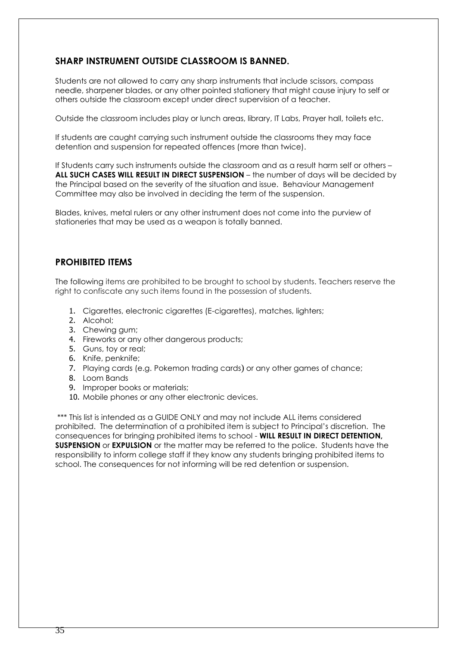#### **SHARP INSTRUMENT OUTSIDE CLASSROOM IS BANNED.**

Students are not allowed to carry any sharp instruments that include scissors, compass needle, sharpener blades, or any other pointed stationery that might cause injury to self or others outside the classroom except under direct supervision of a teacher.

Outside the classroom includes play or lunch areas, library, IT Labs, Prayer hall, toilets etc.

If students are caught carrying such instrument outside the classrooms they may face detention and suspension for repeated offences (more than twice).

If Students carry such instruments outside the classroom and as a result harm self or others – **ALL SUCH CASES WILL RESULT IN DIRECT SUSPENSION** – the number of days will be decided by the Principal based on the severity of the situation and issue. Behaviour Management Committee may also be involved in deciding the term of the suspension.

Blades, knives, metal rulers or any other instrument does not come into the purview of stationeries that may be used as a weapon is totally banned.

#### **PROHIBITED ITEMS**

The following items are prohibited to be brought to school by students. Teachers reserve the right to confiscate any such items found in the possession of students.

- 1. Cigarettes, electronic cigarettes (E-cigarettes), matches, lighters;
- 2. Alcohol;
- 3. Chewing gum;
- 4. Fireworks or any other dangerous products;
- 5. Guns, toy or real;
- 6. Knife, penknife;
- 7. Playing cards (e.g. Pokemon trading cards) or any other games of chance;
- 8. Loom Bands
- 9. Improper books or materials;
- 10. Mobile phones or any other electronic devices.

\*\*\* This list is intended as a GUIDE ONLY and may not include ALL items considered prohibited. The determination of a prohibited item is subject to Principal's discretion. The consequences for bringing prohibited items to school - **WILL RESULT IN DIRECT DETENTION, SUSPENSION** or **EXPULSION** or the matter may be referred to the police. Students have the responsibility to inform college staff if they know any students bringing prohibited items to school. The consequences for not informing will be red detention or suspension.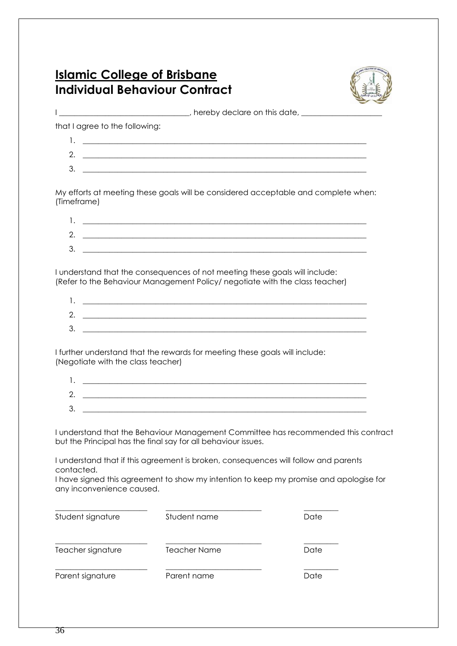### **Islamic College of Brisbane** **Individual Behaviour Contract**



I \_\_\_\_\_\_\_\_\_\_\_\_\_\_\_\_\_\_\_\_\_\_\_\_\_\_\_\_\_\_\_, hereby declare on this date, \_\_\_\_\_\_\_\_\_\_\_\_\_\_\_\_\_

that I agree to the following:

| c                              |  |
|--------------------------------|--|
| £.<br>$\overline{\phantom{a}}$ |  |

My efforts at meeting these goals will be considered acceptable and complete when: (Timeframe)

| ◠<br><u>.</u> |  |
|---------------|--|
| <u>ລ</u><br>ັ |  |

I understand that the consequences of not meeting these goals will include: (Refer to the Behaviour Management Policy/ negotiate with the class teacher)

| z.     |  |
|--------|--|
| っ<br>ັ |  |

I further understand that the rewards for meeting these goals will include: (Negotiate with the class teacher)

| ◠<br>ີ |  |
|--------|--|

I understand that the Behaviour Management Committee has recommended this contract but the Principal has the final say for all behaviour issues.

I understand that if this agreement is broken, consequences will follow and parents contacted.

I have signed this agreement to show my intention to keep my promise and apologise for any inconvenience caused.

| Student signature | Student name        | Date |
|-------------------|---------------------|------|
| Teacher signature | <b>Teacher Name</b> | Date |
| Parent signature  | Parent name         | Date |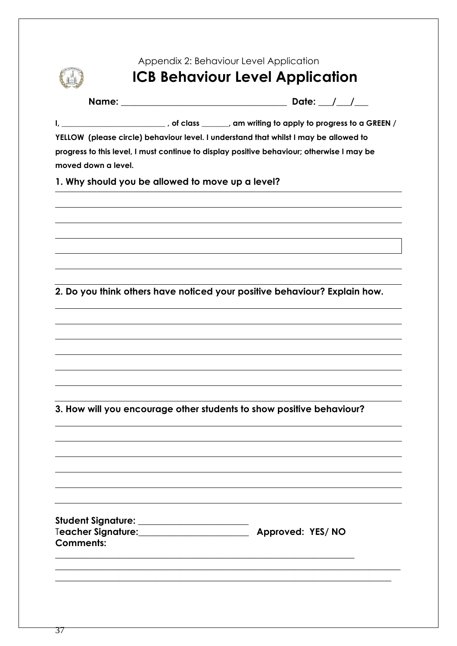### Appendix 2: Behaviour Level Application

### **ICB Behaviour Level Application**

**Name: \_\_\_\_\_\_\_\_\_\_\_\_\_\_\_\_\_\_\_\_\_\_\_\_\_\_\_\_\_\_\_\_\_\_\_\_ Date: \_\_\_/\_\_\_/\_\_\_**

**I, \_\_\_\_\_\_\_\_\_\_\_\_\_\_\_\_\_\_\_\_\_\_\_\_\_\_\_ , of class \_\_\_\_\_\_\_, am writing to apply to progress to a GREEN /** 

**YELLOW (please circle) behaviour level. I understand that whilst I may be allowed to progress to this level, I must continue to display positive behaviour; otherwise I may be moved down a level.**

**1. Why should you be allowed to move up a level?**

**2. Do you think others have noticed your positive behaviour? Explain how.**

**3. How will you encourage other students to show positive behaviour?**

| Student Signature: _        |                  |  |
|-----------------------------|------------------|--|
| T <b>eacher Signature:_</b> | Approved: YES/NO |  |
| Comments:                   |                  |  |
|                             |                  |  |

**\_\_\_\_\_\_\_\_\_\_\_\_\_\_\_\_\_\_\_\_\_\_\_\_\_\_\_\_\_\_\_\_\_\_\_\_\_\_\_\_\_\_\_\_\_\_\_\_\_\_\_\_\_\_\_\_\_\_\_\_\_\_\_\_\_\_\_\_\_\_\_\_\_\_\_ \_\_\_\_\_\_\_\_\_\_\_\_\_\_\_\_\_\_\_\_\_\_\_\_\_\_\_\_\_\_\_\_\_\_\_\_\_\_\_\_\_\_\_\_\_\_\_\_\_\_\_\_\_\_\_\_\_\_\_\_\_\_\_\_\_\_\_\_\_\_\_\_\_**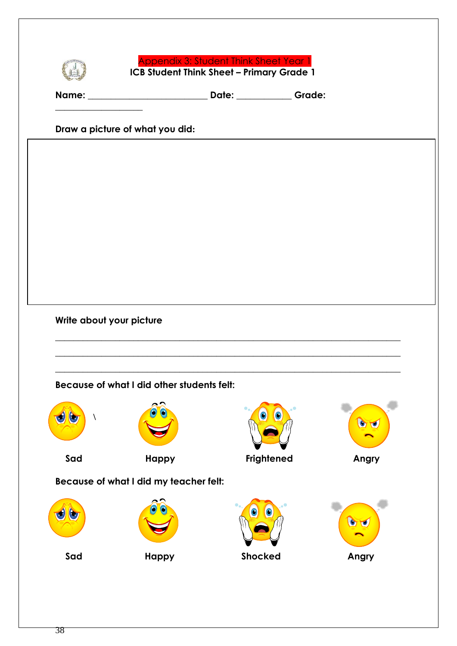

Appendix 3: Student Think Sheet Year 1  **ICB Student Think Sheet – Primary Grade 1**

**Name: \_\_\_\_\_\_\_\_\_\_\_\_\_\_\_\_\_\_\_\_\_\_\_\_\_\_ Date: \_\_\_\_\_\_\_\_\_\_\_\_ Grade:** 

**Draw a picture of what you did:** 

**\_\_\_\_\_\_\_\_\_\_\_\_\_\_\_\_\_\_\_**

**Write about your picture**

**Because of what I did other students felt:**





 **Sad Happy Frightened Angry**



**Because of what I did my teacher felt:**



\_\_\_\_\_\_\_\_\_\_\_\_\_\_\_\_\_\_\_\_\_\_\_\_\_\_\_\_\_\_\_\_\_\_\_\_\_\_\_\_\_\_\_\_\_\_\_\_\_\_\_\_\_\_\_\_\_\_\_\_\_\_\_\_\_\_\_\_\_\_\_\_\_\_\_

\_\_\_\_\_\_\_\_\_\_\_\_\_\_\_\_\_\_\_\_\_\_\_\_\_\_\_\_\_\_\_\_\_\_\_\_\_\_\_\_\_\_\_\_\_\_\_\_\_\_\_\_\_\_\_\_\_\_\_\_\_\_\_\_\_\_\_\_\_\_\_\_\_\_\_

\_\_\_\_\_\_\_\_\_\_\_\_\_\_\_\_\_\_\_\_\_\_\_\_\_\_\_\_\_\_\_\_\_\_\_\_\_\_\_\_\_\_\_\_\_\_\_\_\_\_\_\_\_\_\_\_\_\_\_\_\_\_\_\_\_\_\_\_\_\_\_\_\_\_\_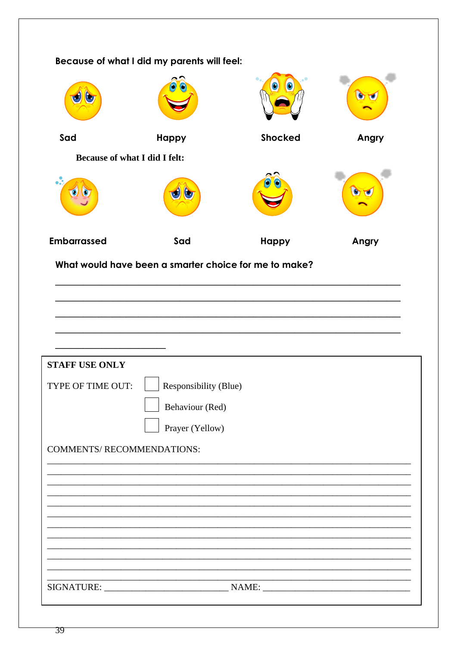| Because of what I did my parents will feel: |                                                       |                |       |
|---------------------------------------------|-------------------------------------------------------|----------------|-------|
|                                             |                                                       |                |       |
| Sad                                         | <b>Happy</b>                                          | <b>Shocked</b> | Angry |
| <b>Because of what I did I felt:</b>        |                                                       |                |       |
|                                             |                                                       |                |       |
| <b>Embarrassed</b>                          | Sad                                                   | <b>Happy</b>   | Angry |
|                                             | What would have been a smarter choice for me to make? |                |       |
|                                             |                                                       |                |       |
|                                             |                                                       |                |       |
|                                             |                                                       |                |       |
| <b>STAFF USE ONLY</b>                       |                                                       |                |       |
| TYPE OF TIME OUT:                           | Responsibility (Blue)                                 |                |       |
| Behaviour (Red)                             |                                                       |                |       |
|                                             | Prayer (Yellow)                                       |                |       |
| COMMENTS/ RECOMMENDATIONS:                  |                                                       |                |       |
|                                             |                                                       |                |       |
|                                             |                                                       |                |       |
|                                             |                                                       |                |       |
|                                             |                                                       |                |       |
|                                             |                                                       |                |       |
|                                             |                                                       |                |       |
|                                             |                                                       |                |       |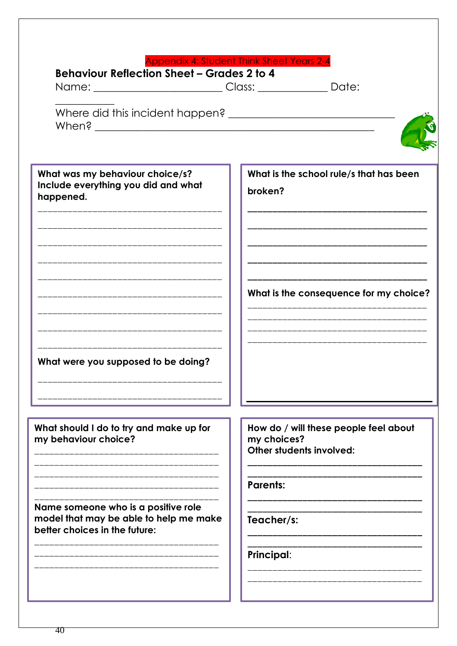| <b>Appendix 4: Student Think Sheet Years 2-4</b> |
|--------------------------------------------------|
|--------------------------------------------------|

broken?

| Behaviour Reflection Sheet – Grades 2 to 4 |  |
|--------------------------------------------|--|
|--------------------------------------------|--|

Name: \_\_\_\_\_\_\_\_\_\_\_\_\_\_\_\_\_\_\_\_\_\_\_\_Class: \_\_\_\_\_\_\_\_\_\_\_\_\_ Date:

What was my behaviour choice/s? Include everything you did and what happened.

What were you supposed to be doing?

What should I do to try and make up for my behaviour choice?

Name someone who is a positive role model that may be able to help me make better choices in the future:

How do / will these people feel about my choices? Other students involved:

What is the school rule/s that has been

What is the consequence for my choice?

**Parents:** 

Teacher/s:

**Principal:**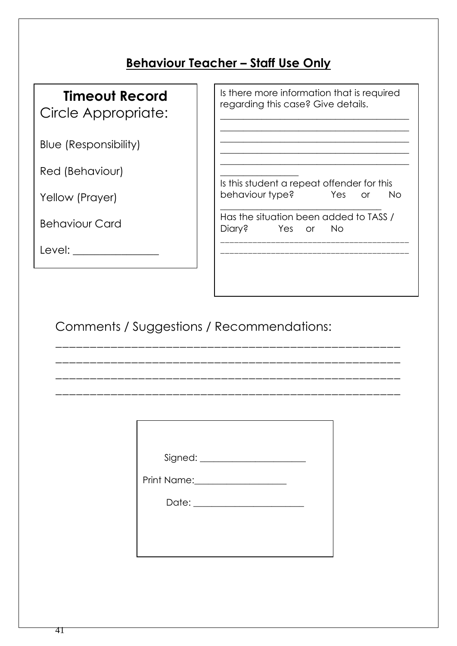### **Behaviour Teacher – Staff Use Only**

## **Timeout Record**

Circle Appropriate:

Blue (Responsibility)

Red (Behaviour)

Yellow (Prayer)

Behaviour Card

Level: \_\_\_\_\_\_\_\_\_\_\_\_\_\_\_\_

Is there more information that is required regarding this case? Give details.

\_\_\_\_\_\_\_\_\_\_\_\_\_\_\_\_\_\_\_\_\_\_\_\_\_\_\_\_\_\_\_\_\_\_\_\_\_\_\_\_\_

\_\_\_\_\_\_\_\_\_\_\_\_\_\_\_\_\_\_\_\_\_\_\_\_\_\_\_\_\_\_\_\_\_\_\_\_\_\_\_\_\_ \_\_\_\_\_\_\_\_\_\_\_\_\_\_\_\_\_\_\_\_\_\_\_\_\_\_\_\_\_\_\_\_\_\_\_\_\_\_\_\_\_ \_\_\_\_\_\_\_\_\_\_\_\_\_\_\_\_\_\_\_\_\_\_\_\_\_\_\_\_\_\_\_\_\_\_\_\_\_\_\_\_\_

 $\frac{1}{2}$  ,  $\frac{1}{2}$  ,  $\frac{1}{2}$  ,  $\frac{1}{2}$  ,  $\frac{1}{2}$  ,  $\frac{1}{2}$  ,  $\frac{1}{2}$  ,  $\frac{1}{2}$  ,  $\frac{1}{2}$  ,  $\frac{1}{2}$  ,  $\frac{1}{2}$  ,  $\frac{1}{2}$  ,  $\frac{1}{2}$  ,  $\frac{1}{2}$  ,  $\frac{1}{2}$  ,  $\frac{1}{2}$  ,  $\frac{1}{2}$  ,  $\frac{1}{2}$  ,  $\frac{1$ 

 $\overline{\phantom{a}}$  , where  $\overline{\phantom{a}}$ Is this student a repeat offender for this behaviour type? Yes or No

\_\_\_\_\_\_\_\_\_\_\_\_\_\_\_\_\_\_\_\_\_\_\_\_\_\_\_\_\_\_\_\_\_\_\_ Has the situation been added to TASS / Diary? Yes or No \_\_\_\_\_\_\_\_\_\_\_\_\_\_\_\_\_\_\_\_\_\_\_\_\_\_\_\_\_\_\_\_\_\_\_\_\_\_\_\_\_

\_\_\_\_\_\_\_\_\_\_\_\_\_\_\_\_\_\_\_\_\_\_\_\_\_\_\_\_\_\_\_\_\_\_\_\_\_\_\_\_\_

Comments / Suggestions / Recommendations:

| Print Name: <u>_____________________</u> |  |
|------------------------------------------|--|
|                                          |  |
|                                          |  |
|                                          |  |

\_\_\_\_\_\_\_\_\_\_\_\_\_\_\_\_\_\_\_\_\_\_\_\_\_\_\_\_\_\_\_\_\_\_\_\_\_\_\_\_\_\_\_\_\_\_\_\_\_\_

\_\_\_\_\_\_\_\_\_\_\_\_\_\_\_\_\_\_\_\_\_\_\_\_\_\_\_\_\_\_\_\_\_\_\_\_\_\_\_\_\_\_\_\_\_\_\_\_\_\_

\_\_\_\_\_\_\_\_\_\_\_\_\_\_\_\_\_\_\_\_\_\_\_\_\_\_\_\_\_\_\_\_\_\_\_\_\_\_\_\_\_\_\_\_\_\_\_\_\_\_

\_\_\_\_\_\_\_\_\_\_\_\_\_\_\_\_\_\_\_\_\_\_\_\_\_\_\_\_\_\_\_\_\_\_\_\_\_\_\_\_\_\_\_\_\_\_\_\_\_\_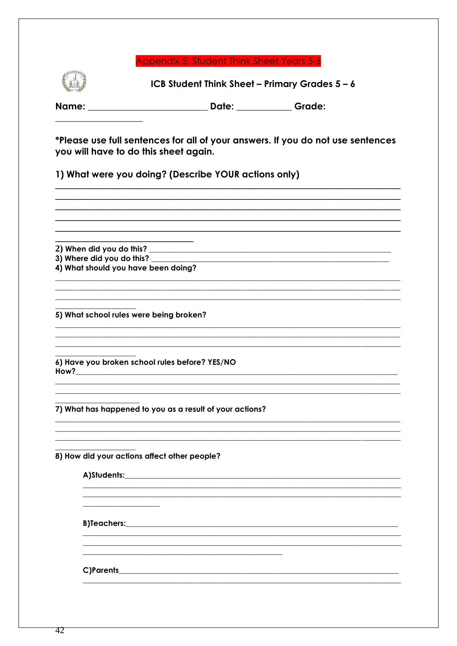#### Appendix 5: Student Think Sheet Years 5-6



ICB Student Think Sheet - Primary Grades 5 - 6

Name: Date: Date: Grade:

\*Please use full sentences for all of your answers. If you do not use sentences you will have to do this sheet again.

1) What were you doing? (Describe YOUR actions only)

2) When did you do this? 3) Where did you do this? 4) What should you have been doing? 5) What school rules were being broken? 6) Have you broken school rules before? YES/NO How? 7) What has happened to you as a result of your actions? 8) How did your actions affect other people? A)Students: **B)Teachers:** 

C)Parents and the contract of the contract of the contract of the contract of the contract of the contract of the contract of the contract of the contract of the contract of the contract of the contract of the contract of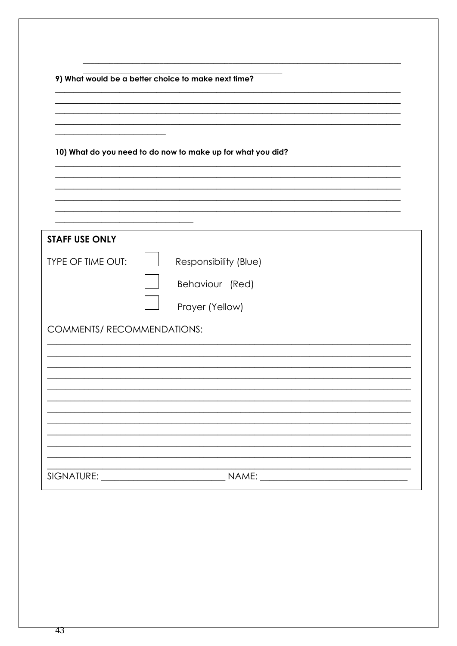| 9) What would be a better choice to make next time?         |                       |
|-------------------------------------------------------------|-----------------------|
|                                                             |                       |
|                                                             |                       |
| 10) What do you need to do now to make up for what you did? |                       |
|                                                             |                       |
|                                                             |                       |
| <b>STAFF USE ONLY</b>                                       |                       |
| <b>TYPE OF TIME OUT:</b>                                    | Responsibility (Blue) |
|                                                             | Behaviour (Red)       |
|                                                             | Prayer (Yellow)       |
| COMMENTS/ RECOMMENDATIONS:                                  |                       |
|                                                             |                       |
|                                                             |                       |
|                                                             |                       |
|                                                             |                       |
|                                                             |                       |
|                                                             |                       |
|                                                             |                       |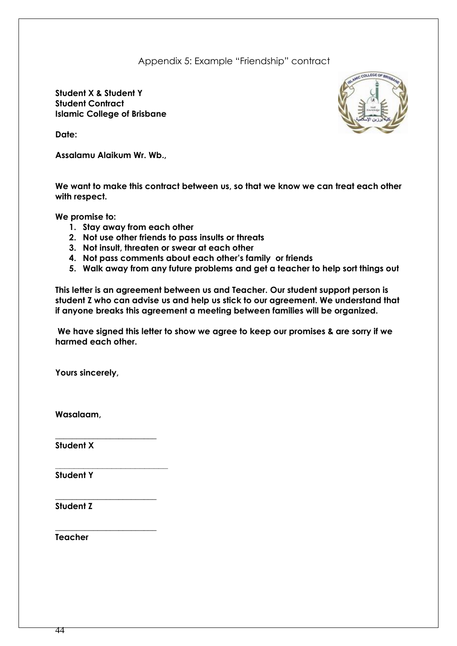Appendix 5: Example "Friendship" contract

**Student X & Student Y Student Contract Islamic College of Brisbane**



**Date:**

**Assalamu Alaikum Wr. Wb.,** 

**We want to make this contract between us, so that we know we can treat each other with respect.**

**We promise to:**

- **1. Stay away from each other**
- **2. Not use other friends to pass insults or threats**
- **3. Not insult, threaten or swear at each other**
- **4. Not pass comments about each other's family or friends**
- **5. Walk away from any future problems and get a teacher to help sort things out**

**This letter is an agreement between us and Teacher. Our student support person is student Z who can advise us and help us stick to our agreement. We understand that if anyone breaks this agreement a meeting between families will be organized.** 

**We have signed this letter to show we agree to keep our promises & are sorry if we harmed each other.**

**Yours sincerely,** 

**\_\_\_\_\_\_\_\_\_\_\_\_\_\_\_\_\_\_\_\_\_\_\_\_** 

**\_\_\_\_\_\_\_\_\_\_\_\_\_\_\_\_\_\_\_\_\_\_\_\_** 

**\_\_\_\_\_\_\_\_\_\_\_\_\_\_\_\_\_\_\_\_\_\_\_\_** 

**Wasalaam,**

**Student X**

**Student Y**

**\_\_\_\_\_\_\_\_\_\_\_\_\_\_\_\_\_\_\_\_\_\_\_\_ Student Z**

**Teacher**